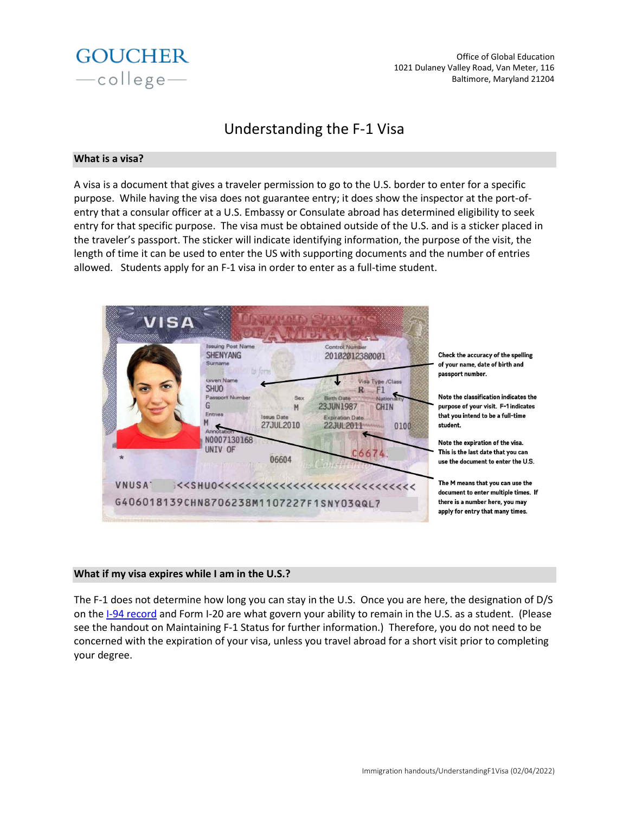

Office of Global Education 1021 Dulaney Valley Road, Van Meter, 116 Baltimore, Maryland 21204

# Understanding the F-1 Visa

#### **What is a visa?**

A visa is a document that gives a traveler permission to go to the U.S. border to enter for a specific purpose. While having the visa does not guarantee entry; it does show the inspector at the port-ofentry that a consular officer at a U.S. Embassy or Consulate abroad has determined eligibility to seek entry for that specific purpose. The visa must be obtained outside of the U.S. and is a sticker placed in the traveler's passport. The sticker will indicate identifying information, the purpose of the visit, the length of time it can be used to enter the US with supporting documents and the number of entries allowed. Students apply for an F-1 visa in order to enter as a full-time student.



Check the accuracy of the spelling of your name, date of birth and

Note the classification indicates the purpose of your visit. F-1 indicates that you intend to be a full-time

Note the expiration of the visa. This is the last date that you can use the document to enter the U.S.

The M means that you can use the document to enter multiple times. If there is a number here, you may apply for entry that many times.

## **What if my visa expires while I am in the U.S.?**

The F-1 does not determine how long you can stay in the U.S. Once you are here, the designation of D/S on th[e I-94 record](https://i94.cbp.dhs.gov/I94/#/home) and Form I-20 are what govern your ability to remain in the U.S. as a student. (Please see the handout on Maintaining F-1 Status for further information.) Therefore, you do not need to be concerned with the expiration of your visa, unless you travel abroad for a short visit prior to completing your degree.